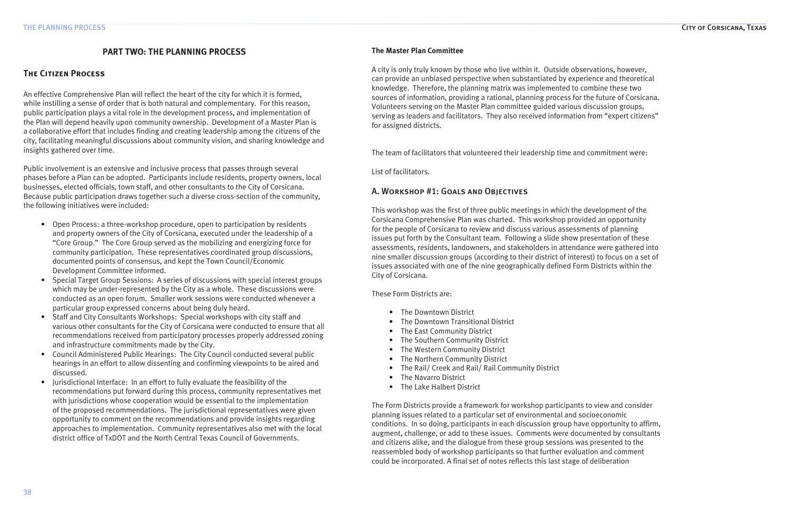# **PART TWO: THE PLANNING PROCESS**

# **The Citizen Process**

An effective Comprehensive Plan will reflect the heart of the city for which it is formed, while instilling a sense of order that is both natural and complementary. For this reason, public participation plays a vital role in the development process, and implementation of the Plan will depend heavily upon community ownership. Development of a Master Plan is a collaborative effort that includes finding and creating leadership among the citizens of the city, facilitating meaningful discussions about community vision, and sharing knowledge and insights gathered over time.

Public involvement is an extensive and inclusive process that passes through several phases before a Plan can be adopted. Participants include residents, property owners, local businesses, elected officials, town staff, and other consultants to the City of Corsicana. Because public participation draws together such a diverse cross-section of the community, the following initiatives were included:

- Open Process: a three-workshop procedure, open to participation by residents and property owners of the City of Corsicana, executed under the leadership of a "Core Group." The Core Group served as the mobilizing and energizing force for community participation. These representatives coordinated group discussions, documented points of consensus, and kept the Town Council/Economic Development Committee informed.
- Special Target Group Sessions: A series of discussions with special interest groups which may be under-represented by the City as a whole. These discussions were conducted as an open forum. Smaller work sessions were conducted whenever a particular group expressed concerns about being duly heard. •
- Staff and City Consultants Workshops: Special workshops with city staff and various other consultants for the City of Corsicana were conducted to ensure that all recommendations received from participatory processes properly addressed zoning and infrastructure commitments made by the City.
- Council Administered Public Hearings: The City Council conducted several public hearings in an effort to allow dissenting and confirming viewpoints to be aired and discussed. •
- Jurisdictional Interface: In an effort to fully evaluate the feasibility of the recommendations put forward during this process, community representatives met with jurisdictions whose cooperation would be essential to the implementation of the proposed recommendations. The jurisdictional representatives were given opportunity to comment on the recommendations and provide insights regarding approaches to implementation. Community representatives also met with the local district office of TxDOT and the North Central Texas Council of Governments. •

### **The Master Plan Committee**

A city is only truly known by those who live within it. Outside observations, however, can provide an unbiased perspective when substantiated by experience and theoretical knowledge. Therefore, the planning matrix was implemented to combine these two sources of information, providing a rational, planning process for the future of Corsicana. Volunteers serving on the Master Plan committee guided various discussion groups, serving as leaders and facilitators. They also received information from "expert citizens" for assigned districts.

The team of facilitators that volunteered their leadership time and commitment were:

List of facilitators.

# A. Workshop #1: Goals and Objectives

This workshop was the first of three public meetings in which the development of the Corsicana Comprehensive Plan was charted. This workshop provided an opportunity for the people of Corsicana to review and discuss various assessments of planning issues put forth by the Consultant team. Following a slide show presentation of these assessments, residents, landowners, and stakeholders in attendance were gathered into nine smaller discussion groups (according to their district of interest) to focus on a set of issues associated with one of the nine geographically defined Form Districts within the City of Corsicana.

These Form Districts are:

- The Downtown District
- The Downtown Transitional District •
- The East Community District
- The Southern Community District
- The Western Community District •
- The Northern Community District
- The Rail/ Creek and Rail/ Rail Community District •
- The Navarro District  $\bullet$
- The Lake Halbert District

The Form Districts provide a framework for workshop participants to view and consider planning issues related to a particular set of environmental and socioeconomic conditions. In so doing, participants in each discussion group have opportunity to affirm, augment, challenge, or add to these issues. Comments were documented by consultants and citizens alike, and the dialogue from these group sessions was presented to the reassembled body of workshop participants so that further evaluation and comment could be incorporated. A final set of notes reflects this last stage of deliberation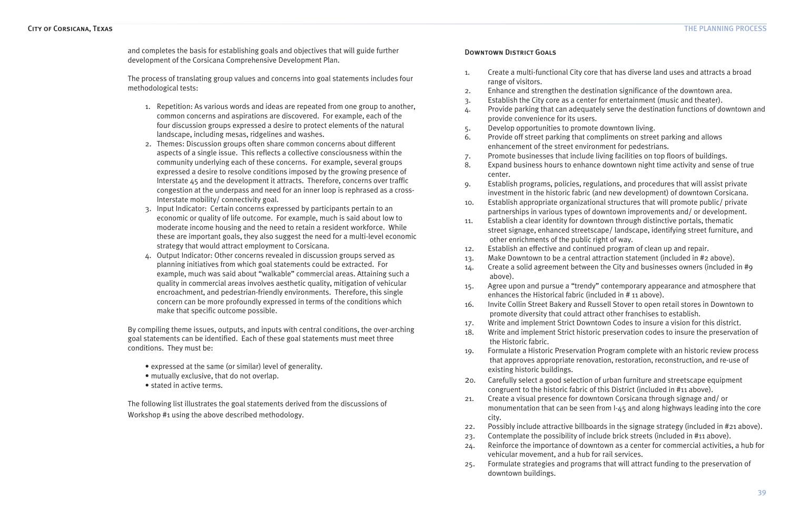and completes the basis for establishing goals and objectives that will guide further development of the Corsicana Comprehensive Development Plan.

The process of translating group values and concerns into goal statements includes four methodological tests:

- 1. Repetition: As various words and ideas are repeated from one group to another, common concerns and aspirations are discovered. For example, each of the four discussion groups expressed a desire to protect elements of the natural landscape, including mesas, ridgelines and washes.
- 2. Themes: Discussion groups often share common concerns about different aspects of a single issue. This reflects a collective consciousness within the community underlying each of these concerns. For example, several groups expressed a desire to resolve conditions imposed by the growing presence of Interstate 45 and the development it attracts. Therefore, concerns over traffic congestion at the underpass and need for an inner loop is rephrased as a cross-Interstate mobility/ connectivity goal.
- 3. Input Indicator: Certain concerns expressed by participants pertain to an economic or quality of life outcome. For example, much is said about low to moderate income housing and the need to retain a resident workforce. While these are important goals, they also suggest the need for a multi-level economic strategy that would attract employment to Corsicana.
- Output Indicator: Other concerns revealed in discussion groups served as planning initiatives from which goal statements could be extracted. For example, much was said about "walkable" commercial areas. Attaining such a quality in commercial areas involves aesthetic quality, mitigation of vehicular encroachment, and pedestrian-friendly environments. Therefore, this single concern can be more profoundly expressed in terms of the conditions which make that specific outcome possible. 4.

By compiling theme issues, outputs, and inputs with central conditions, the over-arching goal statements can be identified. Each of these goal statements must meet three conditions. They must be:

- expressed at the same (or similar) level of generality.
- mutually exclusive, that do not overlap. •
- stated in active terms.

The following list illustrates the goal statements derived from the discussions of Workshop #1 using the above described methodology.

### Downtown District Goals

- 1. Create a multi-functional City core that has diverse land uses and attracts a broad range of visitors.
- 2. Enhance and strengthen the destination significance of the downtown area.
- 3. Establish the City core as a center for entertainment (music and theater).
- 4. Provide parking that can adequately serve the destination functions of downtown and provide convenience for its users.
- 5. Develop opportunities to promote downtown living.
- 6. Provide off street parking that compliments on street parking and allows enhancement of the street environment for pedestrians. 7. Promote businesses that include living facilities on top floors of buildings.
- 8. Expand business hours to enhance downtown night time activity and sense of true
- center.
- investment in the historic fabric (and new development) of downtown Corsicana. partnerships in various types of downtown improvements and/ or development. street signage, enhanced streetscape/ landscape, identifying street furniture, and other enrichments of the public right of way.
- 9. Establish programs, policies, regulations, and procedures that will assist private 10. Establish appropriate organizational structures that will promote public/ private 11. Establish a clear identity for downtown through distinctive portals, thematic
- 
- 12. Establish an effective and continued program of clean up and repair.
- 13. Make Downtown to be a central attraction statement (included in #2 above).
- 14. Create a solid agreement between the City and businesses owners (included in #9 above).
- 15. Agree upon and pursue a "trendy" contemporary appearance and atmosphere that enhances the Historical fabric (included in # 11 above).
- 16. Invite Collin Street Bakery and Russell Stover to open retail stores in Downtown to promote diversity that could attract other franchises to establish.
- 17. Write and implement Strict Downtown Codes to insure a vision for this district.
- the Historic fabric.
- 19. Formulate a Historic Preservation Program complete with an historic review process that approves appropriate renovation, restoration, reconstruction, and re-use of existing historic buildings.
- 20. Carefully select a good selection of urban furniture and streetscape equipment congruent to the historic fabric of this District (included in #11 above).
- 21. Create a visual presence for downtown Corsicana through signage and/ or monumentation that can be seen from I-45 and along highways leading into the core city.
- 22. Possibly include attractive billboards in the signage strategy (included in #21 above). 23. Contemplate the possibility of include brick streets (included in #11 above).
- 
- 24. Reinforce the importance of downtown as a center for commercial activities, a hub for vehicular movement, and a hub for rail services.
- 25. Formulate strategies and programs that will attract funding to the preservation of downtown buildings.

18. Write and implement Strict historic preservation codes to insure the preservation of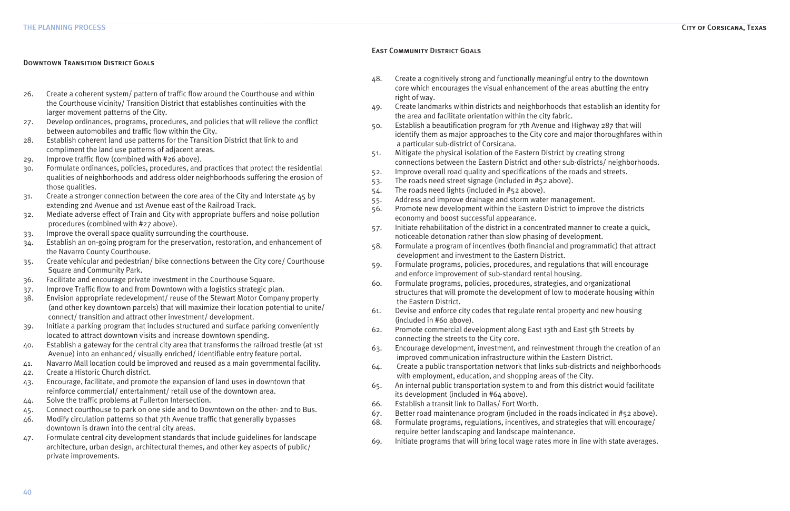## Downtown Transition District Goals

- 26. Create a coherent system/ pattern of traffic flow around the Courthouse and within the Courthouse vicinity/ Transition District that establishes continuities with the larger movement patterns of the City.
- 27. Develop ordinances, programs, procedures, and policies that will relieve the conflict between automobiles and traffic flow within the City.
- 28. Establish coherent land use patterns for the Transition District that link to and compliment the land use patterns of adjacent areas.
- 29. Improve traffic flow (combined with #26 above).
- 30. Formulate ordinances, policies, procedures, and practices that protect the residential qualities of neighborhoods and address older neighborhoods suffering the erosion of those qualities.
- 31. Create a stronger connection between the core area of the City and Interstate 45 by extending 2nd Avenue and 1st Avenue east of the Railroad Track.
- 32. Mediate adverse effect of Train and City with appropriate buffers and noise pollution procedures (combined with #27 above).
- 33. Improve the overall space quality surrounding the courthouse.
- 34. Establish an on-going program for the preservation, restoration, and enhancement of the Navarro County Courthouse.
- 35. Create vehicular and pedestrian/ bike connections between the City core/ Courthouse Square and Community Park.
- 36. Facilitate and encourage private investment in the Courthouse Square.
- 37. Improve Traffic flow to and from Downtown with a logistics strategic plan.
- 38. Envision appropriate redevelopment/ reuse of the Stewart Motor Company property (and other key downtown parcels) that will maximize their location potential to unite/ connect/ transition and attract other investment/ development.
- 39. Initiate a parking program that includes structured and surface parking conveniently located to attract downtown visits and increase downtown spending.
- 40. Establish a gateway for the central city area that transforms the railroad trestle (at 1st Avenue) into an enhanced/ visually enriched/ identifiable entry feature portal.
- 41. Navarro Mall location could be improved and reused as a main governmental facility.
- 42. Create a Historic Church district.
- 43. Encourage, facilitate, and promote the expansion of land uses in downtown that reinforce commercial/ entertainment/ retail use of the downtown area.
- 44. Solve the traffic problems at Fullerton Intersection.
- 45. Connect courthouse to park on one side and to Downtown on the other- 2nd to Bus.
- 46. Modify circulation patterns so that 7th Avenue traffic that generally bypasses downtown is drawn into the central city areas.
- 47. Formulate central city development standards that include guidelines for landscape architecture, urban design, architectural themes, and other key aspects of public/ private improvements.

## East Community District Goals

- 48. Create a cognitively strong and functionally meaningful entry to the downtown core which encourages the visual enhancement of the areas abutting the entry right of way.
- 49. Create landmarks within districts and neighborhoods that establish an identity for the area and facilitate orientation within the city fabric.
- 50. Establish a beautification program for 7th Avenue and Highway 287 that will identify them as major approaches to the City core and major thoroughfares within a particular sub-district of Corsicana.
- 51. Mitigate the physical isolation of the Eastern District by creating strong connections between the Eastern District and other sub-districts/ neighborhoods.
- 52. Improve overall road quality and specifications of the roads and streets.
- 53. The roads need street signage (included in #52 above).
- 54. The roads need lights (included in #52 above).
- 55. Address and improve drainage and storm water management.
- 56. Promote new development within the Eastern District to improve the districts economy and boost successful appearance.
- 57. Initiate rehabilitation of the district in a concentrated manner to create a quick, noticeable detonation rather than slow phasing of development.
- 58. Formulate a program of incentives (both financial and programmatic) that attract development and investment to the Eastern District.
- 59. Formulate programs, policies, procedures, and regulations that will encourage and enforce improvement of sub-standard rental housing.
- 60. Formulate programs, policies, procedures, strategies, and organizational structures that will promote the development of low to moderate housing within the Eastern District.
- 61. Devise and enforce city codes that regulate rental property and new housing (included in #60 above).
- 62. Promote commercial development along East 13th and East 5th Streets by connecting the streets to the City core.
- 63. Encourage development, investment, and reinvestment through the creation of an improved communication infrastructure within the Eastern District.
- 64. Create a public transportation network that links sub-districts and neighborhoods with employment, education, and shopping areas of the City.
- 65. An internal public transportation system to and from this district would facilitate its development (included in #64 above).
- 66. Establish a transit link to Dallas/ Fort Worth.
- 67. Better road maintenance program (included in the roads indicated in #52 above).
- 68. Formulate programs, regulations, incentives, and strategies that will encourage/ require better landscaping and landscape maintenance.
- 69. Initiate programs that will bring local wage rates more in line with state averages.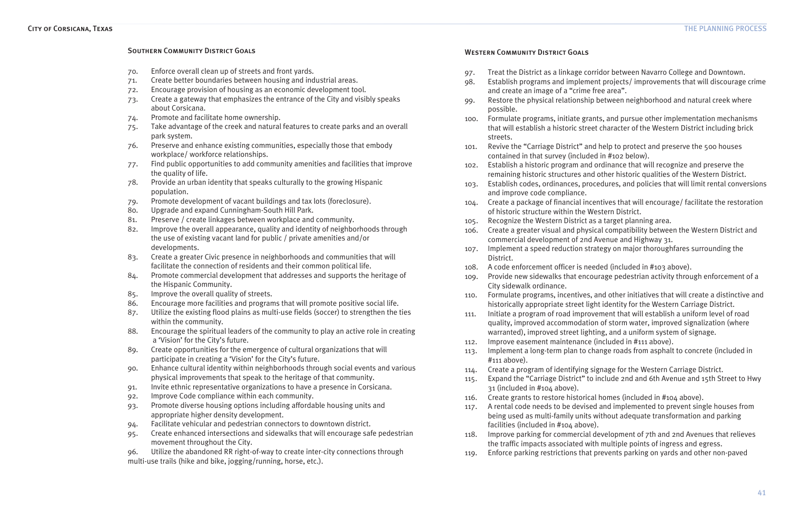### Southern Community District Goals

| 70. | Enforce overall clean up of streets and front yards.                                                                                                                    |
|-----|-------------------------------------------------------------------------------------------------------------------------------------------------------------------------|
| 71. | Create better boundaries between housing and industrial areas.                                                                                                          |
| 72. | Encourage provision of housing as an economic development tool.                                                                                                         |
| 73. | Create a gateway that emphasizes the entrance of the City and visibly speaks<br>about Corsicana.                                                                        |
| 74. | Promote and facilitate home ownership.                                                                                                                                  |
| 75. | Take advantage of the creek and natural features to create parks and an overall<br>park system.                                                                         |
| 76. | Preserve and enhance existing communities, especially those that embody<br>workplace/workforce relationships.                                                           |
| 77. | Find public opportunities to add community amenities and facilities that improve<br>the quality of life.                                                                |
| 78. | Provide an urban identity that speaks culturally to the growing Hispanic<br>population.                                                                                 |
| 79. | Promote development of vacant buildings and tax lots (foreclosure).                                                                                                     |
| 80. | Upgrade and expand Cunningham-South Hill Park.                                                                                                                          |
| 81. | Preserve / create linkages between workplace and community.                                                                                                             |
| 82. | Improve the overall appearance, quality and identity of neighborhoods through<br>the use of existing vacant land for public / private amenities and/or<br>developments. |
| 83. | Create a greater Civic presence in neighborhoods and communities that will                                                                                              |
|     | facilitate the connection of residents and their common political life.                                                                                                 |
| 84. | Promote commercial development that addresses and supports the heritage of<br>the Hispanic Community.                                                                   |
| 85. | Improve the overall quality of streets.                                                                                                                                 |
| 86. | Encourage more facilities and programs that will promote positive social life.                                                                                          |
| 87. | Utilize the existing flood plains as multi-use fields (soccer) to strengthen the ties<br>within the community.                                                          |
| 88. | Encourage the spiritual leaders of the community to play an active role in creating<br>a 'Vision' for the City's future.                                                |
| 89. | Create opportunities for the emergence of cultural organizations that will<br>participate in creating a 'Vision' for the City's future.                                 |
| 90. | Enhance cultural identity within neighborhoods through social events and various<br>physical improvements that speak to the heritage of that community.                 |
| 91. | Invite ethnic representative organizations to have a presence in Corsicana.                                                                                             |
| 92. | Improve Code compliance within each community.                                                                                                                          |
| 93. | Promote diverse housing options including affordable housing units and                                                                                                  |
|     | appropriate higher density development.                                                                                                                                 |
| 94. | Facilitate vehicular and pedestrian connectors to downtown district.                                                                                                    |
| 95. | Create enhanced intersections and sidewalks that will encourage safe pedestrian                                                                                         |
|     | movement throughout the City.                                                                                                                                           |
| 96. | Utilize the abandoned RR right-of-way to create inter-city connections through<br>multi-use trails (hike and bike, jogging/running, horse, etc.).                       |
|     |                                                                                                                                                                         |

## WESTERN COMMUNITY DISTRICT GOALS

107. Implement a speed reduction strategy on major thoroughfares surrounding the

- and create an image of a "crime free area".
- 97. Treat the District as a linkage corridor between Navarro College and Downtown. 98. Establish programs and implement projects/ improvements that will discourage crime
- 99. Restore the physical relationship between neighborhood and natural creek where possible.
- 100. Formulate programs, initiate grants, and pursue other implementation mechanisms that will establish a historic street character of the Western District including brick streets.
- 101. Revive the "Carriage District" and help to protect and preserve the 500 houses contained in that survey (included in #102 below).
- remaining historic structures and other historic qualities of the Western District.
- 102. Establish a historic program and ordinance that will recognize and preserve the 103. Establish codes, ordinances, procedures, and policies that will limit rental conversions and improve code compliance.
- 104. Create a package of financial incentives that will encourage/ facilitate the restoration of historic structure within the Western District.
- 105. Recognize the Western District as a target planning area. 106. Create a greater visual and physical compatibility between the Western District and commercial development of 2nd Avenue and Highway 31.
- District.
- 108. A code enforcement officer is needed (included in #103 above).
- 109. Provide new sidewalks that encourage pedestrian activity through enforcement of a City sidewalk ordinance.
- 110. Formulate programs, incentives, and other initiatives that will create a distinctive and historically appropriate street light identity for the Western Carriage District.
- 111. Initiate a program of road improvement that will establish a uniform level of road quality, improved accommodation of storm water, improved signalization (where warranted), improved street lighting, and a uniform system of signage.
- 112. Improve easement maintenance (included in #111 above).
- 113. Implement a long-term plan to change roads from asphalt to concrete (included in #111 above).
- 114. Create a program of identifying signage for the Western Carriage District. 115. Expand the "Carriage District" to include 2nd and 6th Avenue and 15th Street to Hwy
- 31 (included in #104 above).
- 116. Create grants to restore historical homes (included in #104 above).
- 117. A rental code needs to be devised and implemented to prevent single houses from being used as multi-family units without adequate transformation and parking facilities (included in #104 above).
- 118. Improve parking for commercial development of 7th and 2nd Avenues that relieves the traffic impacts associated with multiple points of ingress and egress.
- 119. Enforce parking restrictions that prevents parking on yards and other non-paved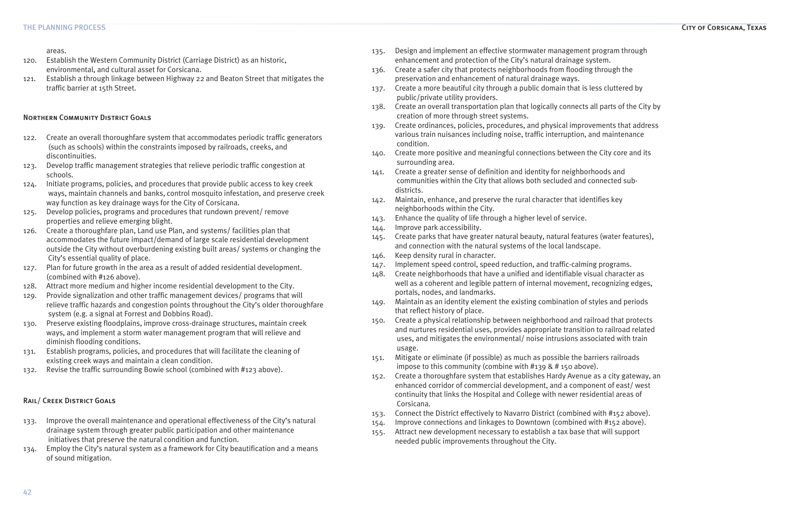### THE PLANNING PROCESS City of Corsicana, Texas

areas.

- 120. Establish the Western Community District (Carriage District) as an historic, environmental, and cultural asset for Corsicana.
- 121. Establish a through linkage between Highway 22 and Beaton Street that mitigates the traffic barrier at 15th Street.

## Northern Community District Goals

- 122. Create an overall thoroughfare system that accommodates periodic traffic generators (such as schools) within the constraints imposed by railroads, creeks, and discontinuities.
- 123. Develop traffic management strategies that relieve periodic traffic congestion at schools.
- 124. Initiate programs, policies, and procedures that provide public access to key creek ways, maintain channels and banks, control mosquito infestation, and preserve creek way function as key drainage ways for the City of Corsicana.
- 125. Develop policies, programs and procedures that rundown prevent/ remove properties and relieve emerging blight.
- 126. Create a thoroughfare plan, Land use Plan, and systems/ facilities plan that accommodates the future impact/demand of large scale residential development outside the City without overburdening existing built areas/ systems or changing the City's essential quality of place.
- 127. Plan for future growth in the area as a result of added residential development. (combined with #126 above).
- 128. Attract more medium and higher income residential development to the City.
- 129. Provide signalization and other traffic management devices/ programs that will relieve traffic hazards and congestion points throughout the City's older thoroughfare system (e.g. a signal at Forrest and Dobbins Road).
- 130. Preserve existing floodplains, improve cross-drainage structures, maintain creek ways, and implement a storm water management program that will relieve and diminish flooding conditions.
- 131. Establish programs, policies, and procedures that will facilitate the cleaning of existing creek ways and maintain a clean condition.
- 132. Revise the traffic surrounding Bowie school (combined with #123 above).

## Rail/ Creek District Goals

- 133. Improve the overall maintenance and operational effectiveness of the City's natural drainage system through greater public participation and other maintenance initiatives that preserve the natural condition and function.
- 134. Employ the City's natural system as a framework for City beautification and a means of sound mitigation.
- 135. Design and implement an effective stormwater management program through enhancement and protection of the City's natural drainage system.
- 136. Create a safer city that protects neighborhoods from flooding through the preservation and enhancement of natural drainage ways.
- 137. Create a more beautiful city through a public domain that is less cluttered by public/private utility providers.
- 138. Create an overall transportation plan that logically connects all parts of the City by creation of more through street systems.
- 139. Create ordinances, policies, procedures, and physical improvements that address various train nuisances including noise, traffic interruption, and maintenance condition.
- 140. Create more positive and meaningful connections between the City core and its surrounding area.
- 141. Create a greater sense of definition and identity for neighborhoods and communities within the City that allows both secluded and connected subdistricts.
- 142. Maintain, enhance, and preserve the rural character that identifies key neighborhoods within the City.
- 143. Enhance the quality of life through a higher level of service.
- 144. Improve park accessibility.
- 145. Create parks that have greater natural beauty, natural features (water features), and connection with the natural systems of the local landscape.
- 146. Keep density rural in character.
- 147. Implement speed control, speed reduction, and traffic-calming programs.
- 148. Create neighborhoods that have a unified and identifiable visual character as well as a coherent and legible pattern of internal movement, recognizing edges, portals, nodes, and landmarks.
- 149. Maintain as an identity element the existing combination of styles and periods that reflect history of place.
- 150. Create a physical relationship between neighborhood and railroad that protects and nurtures residential uses, provides appropriate transition to railroad related uses, and mitigates the environmental/ noise intrusions associated with train usage.
- 151. Mitigate or eliminate (if possible) as much as possible the barriers railroads impose to this community (combine with #139 & # 150 above).
- 152. Create a thoroughfare system that establishes Hardy Avenue as a city gateway, an enhanced corridor of commercial development, and a component of east/ west continuity that links the Hospital and College with newer residential areas of Corsicana.
- 153. Connect the District effectively to Navarro District (combined with #152 above).
- 154. Improve connections and linkages to Downtown (combined with #152 above).
- 155. Attract new development necessary to establish a tax base that will support needed public improvements throughout the City.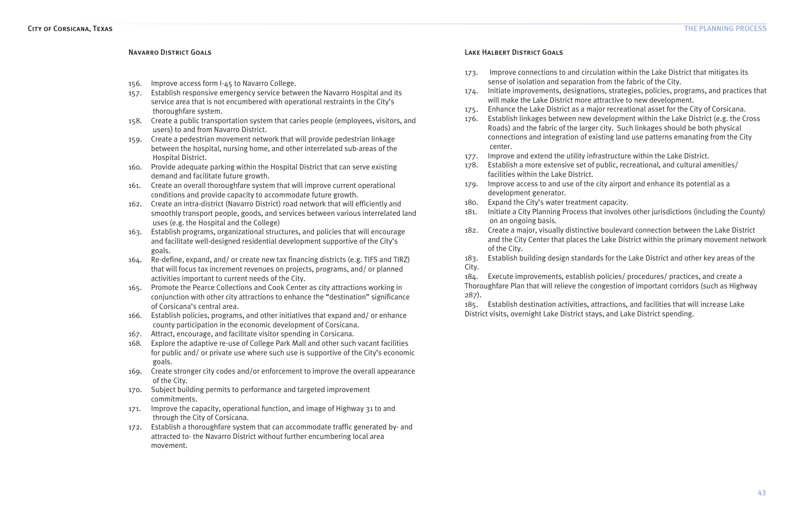### Navarro District Goals

- 156. Improve access form I-45 to Navarro College.
- 157. Establish responsive emergency service between the Navarro Hospital and its service area that is not encumbered with operational restraints in the City's thoroughfare system.
- 158. Create a public transportation system that caries people (employees, visitors, and users) to and from Navarro District.
- 159. Create a pedestrian movement network that will provide pedestrian linkage between the hospital, nursing home, and other interrelated sub-areas of the Hospital District.
- 160. Provide adequate parking within the Hospital District that can serve existing demand and facilitate future growth.
- 161. Create an overall thoroughfare system that will improve current operational conditions and provide capacity to accommodate future growth.
- 162. Create an intra-district (Navarro District) road network that will efficiently and smoothly transport people, goods, and services between various interrelated land uses (e.g. the Hospital and the College)
- 163. Establish programs, organizational structures, and policies that will encourage and facilitate well-designed residential development supportive of the City's goals.
- 164. Re-define, expand, and/ or create new tax financing districts (e.g. TIFS and TIRZ) that will focus tax increment revenues on projects, programs, and/ or planned activities important to current needs of the City.
- 165. Promote the Pearce Collections and Cook Center as city attractions working in conjunction with other city attractions to enhance the "destination" significance of Corsicana's central area.
- 166. Establish policies, programs, and other initiatives that expand and/ or enhance county participation in the economic development of Corsicana.
- 167. Attract, encourage, and facilitate visitor spending in Corsicana.
- 168. Explore the adaptive re-use of College Park Mall and other such vacant facilities for public and/ or private use where such use is supportive of the City's economic goals.
- 169. Create stronger city codes and/or enforcement to improve the overall appearance of the City.
- 170. Subject building permits to performance and targeted improvement commitments.
- 171. Improve the capacity, operational function, and image of Highway 31 to and through the City of Corsicana.
- 172. Establish a thoroughfare system that can accommodate traffic generated by- and attracted to- the Navarro District without further encumbering local area movement.

## Lake Halbert District Goals

- 173. Improve connections to and circulation within the Lake District that mitigates its sense of isolation and separation from the fabric of the City.
- 174. Initiate improvements, designations, strategies, policies, programs, and practices that will make the Lake District more attractive to new development.
- 175. Enhance the Lake District as a major recreational asset for the City of Corsicana. 176. Establish linkages between new development within the Lake District (e.g. the Cross Roads) and the fabric of the larger city. Such linkages should be both physical connections and integration of existing land use patterns emanating from the City
- center.
- facilities within the Lake District.
- 177. Improve and extend the utility infrastructure within the Lake District. 178. Establish a more extensive set of public, recreational, and cultural amenities/
- 179. Improve access to and use of the city airport and enhance its potential as a development generator.
- 180. Expand the City's water treatment capacity.
- 181. Initiate a City Planning Process that involves other jurisdictions (including the County) on an ongoing basis.
- 182. Create a major, visually distinctive boulevard connection between the Lake District and the City Center that places the Lake District within the primary movement network of the City.
- 183. Establish building design standards for the Lake District and other key areas of the City.

- 184. Execute improvements, establish policies/ procedures/ practices, and create a Thoroughfare Plan that will relieve the congestion of important corridors (such as Highway
- 185. Establish destination activities, attractions, and facilities that will increase Lake

287).

District visits, overnight Lake District stays, and Lake District spending.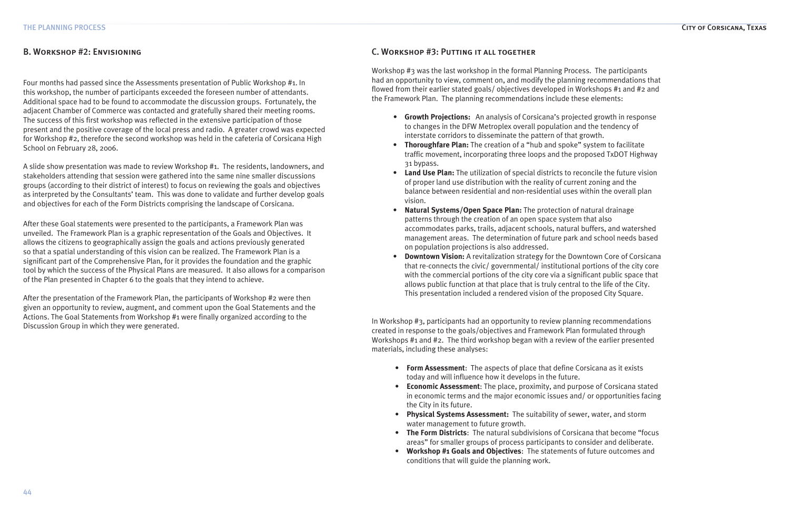# B. Workshop #2: Envisioning

Four months had passed since the Assessments presentation of Public Workshop #1. In this workshop, the number of participants exceeded the foreseen number of attendants. Additional space had to be found to accommodate the discussion groups. Fortunately, the adjacent Chamber of Commerce was contacted and gratefully shared their meeting rooms. The success of this first workshop was reflected in the extensive participation of those present and the positive coverage of the local press and radio. A greater crowd was expected for Workshop #2, therefore the second workshop was held in the cafeteria of Corsicana High School on February 28, 2006.

A slide show presentation was made to review Workshop #1. The residents, landowners, and stakeholders attending that session were gathered into the same nine smaller discussions groups (according to their district of interest) to focus on reviewing the goals and objectives as interpreted by the Consultants' team. This was done to validate and further develop goals and objectives for each of the Form Districts comprising the landscape of Corsicana.

After these Goal statements were presented to the participants, a Framework Plan was unveiled. The Framework Plan is a graphic representation of the Goals and Objectives. It allows the citizens to geographically assign the goals and actions previously generated so that a spatial understanding of this vision can be realized. The Framework Plan is a significant part of the Comprehensive Plan, for it provides the foundation and the graphic tool by which the success of the Physical Plans are measured. It also allows for a comparison of the Plan presented in Chapter 6 to the goals that they intend to achieve.

After the presentation of the Framework Plan, the participants of Workshop #2 were then given an opportunity to review, augment, and comment upon the Goal Statements and the Actions. The Goal Statements from Workshop #1 were finally organized according to the Discussion Group in which they were generated.

# C. Workshop #3: Putting it all together

Workshop #3 was the last workshop in the formal Planning Process. The participants had an opportunity to view, comment on, and modify the planning recommendations that flowed from their earlier stated goals/ objectives developed in Workshops #1 and #2 and the Framework Plan. The planning recommendations include these elements:

- *•*  **Growth Projections:** An analysis of Corsicana's projected growth in response to changes in the DFW Metroplex overall population and the tendency of interstate corridors to disseminate the pattern of that growth.
- **• Thoroughfare Plan:** The creation of a "hub and spoke" system to facilitate traffic movement, incorporating three loops and the proposed TxDOT Highway 31 bypass.
- **• Land Use Plan:** The utilization of special districts to reconcile the future vision of proper land use distribution with the reality of current zoning and the balance between residential and non-residential uses within the overall plan vision.
- **• Natural Systems/Open Space Plan:** The protection of natural drainage patterns through the creation of an open space system that also accommodates parks, trails, adjacent schools, natural buffers, and watershed management areas. The determination of future park and school needs based on population projections is also addressed.
- **• Downtown Vision:** A revitalization strategy for the Downtown Core of Corsicana that re-connects the civic/ governmental/ institutional portions of the city core with the commercial portions of the city core via a significant public space that allows public function at that place that is truly central to the life of the City. This presentation included a rendered vision of the proposed City Square.

In Workshop #3, participants had an opportunity to review planning recommendations created in response to the goals/objectives and Framework Plan formulated through Workshops #1 and #2. The third workshop began with a review of the earlier presented materials, including these analyses:

- **• Form Assessment**: The aspects of place that define Corsicana as it exists today and will influence how it develops in the future.
- **• Economic Assessment**: The place, proximity, and purpose of Corsicana stated in economic terms and the major economic issues and/ or opportunities facing the City in its future.
- **• Physical Systems Assessment:** The suitability of sewer, water, and storm water management to future growth.
- **• The Form Districts**: The natural subdivisions of Corsicana that become "focus areas" for smaller groups of process participants to consider and deliberate.
- **• Workshop #1 Goals and Objectives**: The statements of future outcomes and conditions that will guide the planning work.